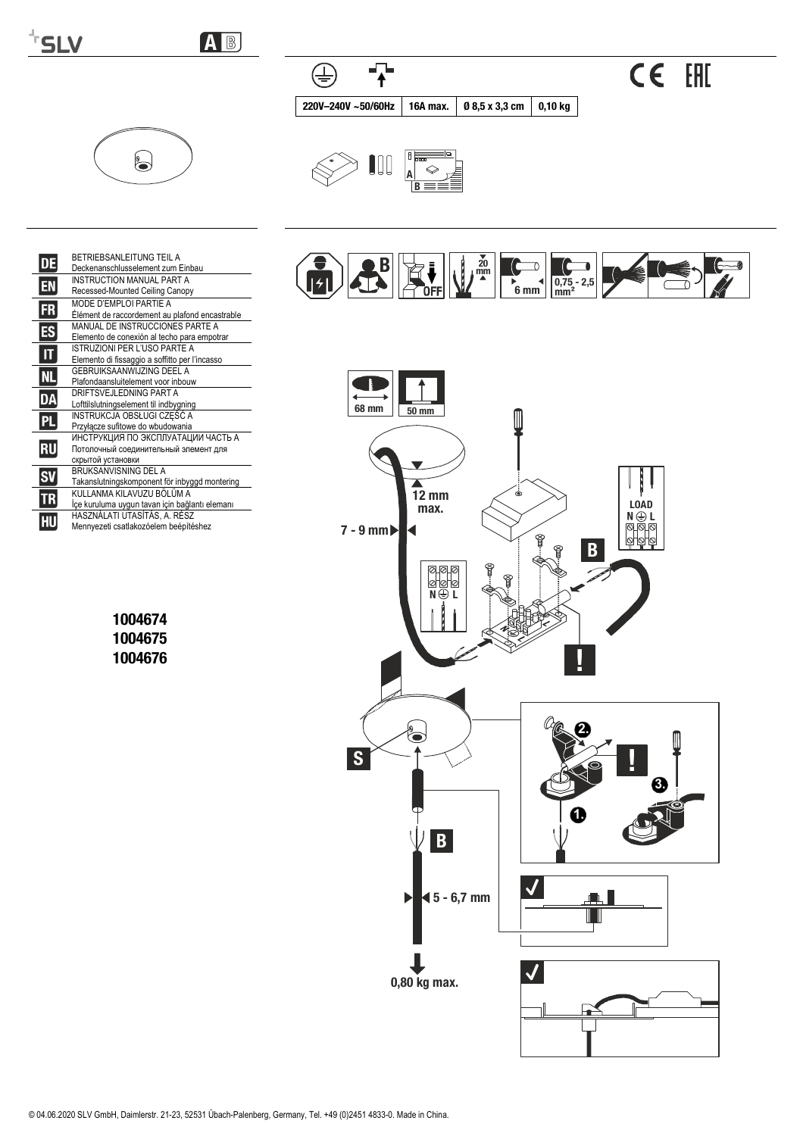

AB

 $\overline{P}$ 

16A max.

0 8,5 x 3,3 cm

 $0,10$  kg

 $\bigoplus$ 

220V-240V ~50/60Hz



|    | <b>BETRIEBSANI FITUNG TEIL A</b><br>Deckenanschlusselement zum Einbau                            |
|----|--------------------------------------------------------------------------------------------------|
| EN | INSTRUCTION MANUAL PART A<br>Recessed-Mounted Ceiling Canopy                                     |
| FR | MODE D'EMPLOI PARTIE A<br>Élément de raccordement au plafond encastrable                         |
| Ŧ  | MANUAL DE INSTRUCCIONES PARTE A<br>Elemento de conexión al techo para empotrar                   |
|    | <b>ISTRUZIONI PER L'USO PARTE A</b><br>Elemento di fissaggio a soffitto per l'incasso            |
| Nl | GEBRUIKSAANWIJZING DEEL A<br>Plafondaansluitelement voor inbouw                                  |
| DÀ | DRIFTSVEJLEDNING PART A<br>Lofttilslutningselement til indbygning                                |
|    | INSTRUKCJA OBSŁUGI CZĘŚĆ A<br>Przyłacze sufitowe do wbudowania                                   |
| RU | ИНСТРУКЦИЯ ПО ЭКСПЛУАТАЦИИ ЧАСТЬ А<br>Потолочный соединительный элемент для<br>скрытой установки |
|    | BRUKSANVISNING DEL A<br>Takanslutningskomponent för inbyggd montering                            |
|    | KULLANMA KILAVUZU BÖLÜM A<br>İçe kuruluma uygun tavan için bağlantı elemanı                      |
|    | HASZNÁLATI UTASÍTÁS, A. RÉSZ<br>Mennyezeti csatlakozóelem beépítéshez                            |

1004674 1004675 1004676



CE EHI

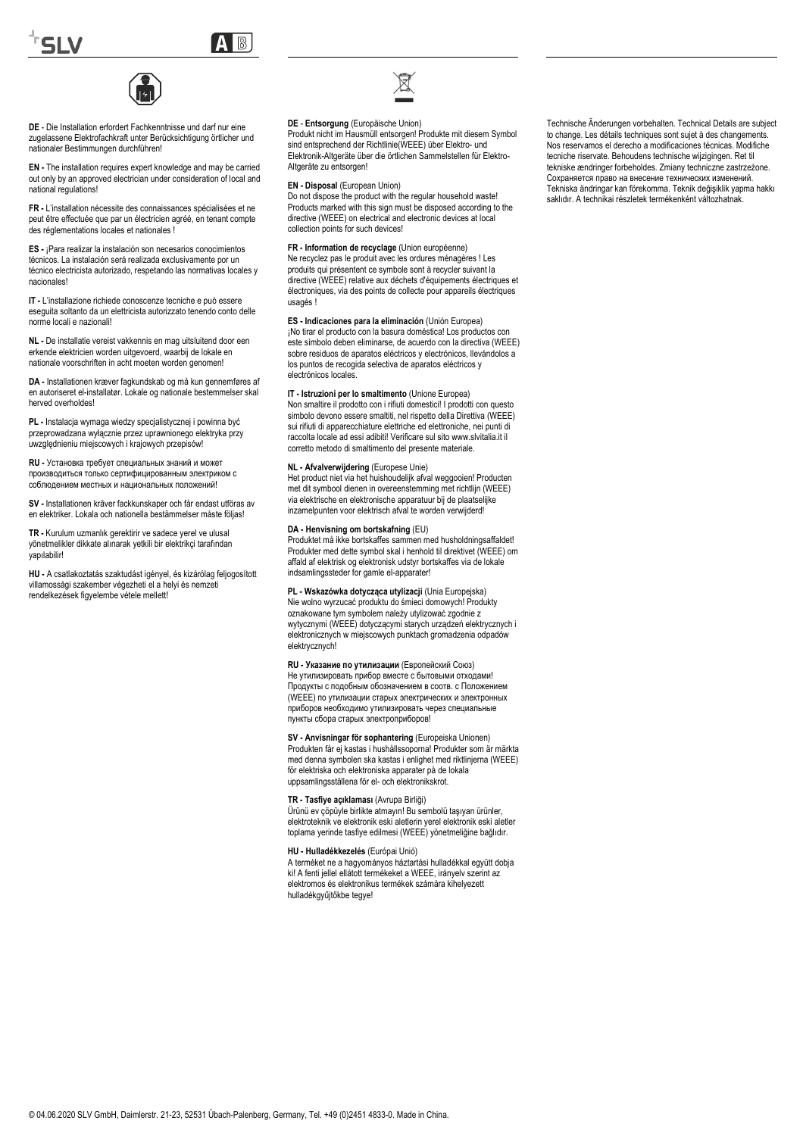

A

**DE** - Die Installation erfordert Fachkenntnisse und darf nur eine zugelassene Elektrofachkraft unter Berücksichtigung örtlicher und nationaler Bestimmungen durchführen!

**EN -** The installation requires expert knowledge and may be carried out only by an approved electrician under consideration of local and national regulations!

**FR -** L'installation nécessite des connaissances spécialisées et ne peut être effectuée que par un électricien agréé, en tenant compte des réglementations locales et nationales !

**ES -** ¡Para realizar la instalación son necesarios conocimientos técnicos. La instalación será realizada exclusivamente por un técnico electricista autorizado, respetando las normativas locales y nacionales!

**IT -** L'installazione richiede conoscenze tecniche e può essere eseguita soltanto da un elettricista autorizzato tenendo conto delle norme locali e nazionali!

**NL -** De installatie vereist vakkennis en mag uitsluitend door een erkende elektricien worden uitgevoerd, waarbij de lokale en nationale voorschriften in acht moeten worden genomen!

**DA -** Installationen kræver fagkundskab og må kun gennemføres af en autoriseret el-installatør. Lokale og nationale bestemmelser skal herved overholdes!

**PL -** Instalacja wymaga wiedzy specjalistycznej i powinna być przeprowadzana wyłącznie przez uprawnionego elektryka przy uwzględnieniu miejscowych i krajowych przepisów!

**RU -** Установка требует специальных знаний и может производиться только сертифицированным электриком с лем местных и национальных положени

**SV -** Installationen kräver fackkunskaper och får endast utföras av en elektriker. Lokala och nationella bestämmelser måste följas!

**TR -** Kurulum uzmanlık gerektirir ve sadece yerel ve ulusal yönetmelikler dikkate alınarak yetkili bir elektrikçi tarafından yapılabilir!

**HU -** A csatlakoztatás szaktudást igényel, és kizárólag feljogosított villamossági szakember végezheti el a helyi és nemzeti rendelkezések figyelembe vétele mellett!



# **DE** - **Entsorgung** (Europäische Union)

Produkt nicht im Hausmüll entsorgen! Produkte mit diesem Symbol sind entsprechend der Richtlinie(WEEE) über Elektro- und Elektronik-Altgeräte über die örtlichen Sammelstellen für Elektro-Altgeräte zu entsorgen!

# **EN - Disposal** (European Union)

Do not dispose the product with the regular household waste! Products marked with this sign must be disposed according to the directive (WEEE) on electrical and electronic devices at local collection points for such devices!

**FR - Information de recyclage** (Union européenne) Ne recyclez pas le produit avec les ordures ménagères ! Les

produits qui présentent ce symbole sont à recycler suivant la directive (WEEE) relative aux déchets d'équipements électriques et électroniques, via des points de collecte pour appareils électriques usagés !

**ES - Indicaciones para la eliminación** (Unión Europea)

¡No tirar el producto con la basura doméstica! Los productos con este símbolo deben eliminarse, de acuerdo con la directiva (WEEE) sobre residuos de aparatos eléctricos y electrónicos, llevándolos a los puntos de recogida selectiva de aparatos eléctricos y electrónicos locales.

#### **IT - Istruzioni per lo smaltimento** (Unione Europea)

Non smaltire il prodotto con i rifiuti domestici! I prodotti con questo simbolo devono essere smaltiti, nel rispetto della Direttiva (WEEE) sui rifiuti di apparecchiature elettriche ed elettroniche, nei punti di raccolta locale ad essi adibiti! Verificare sul sito www.slvitalia.it il corretto metodo di smaltimento del presente materiale.

#### **NL - Afvalverwijdering** (Europese Unie)

Het product niet via het huishoudelijk afval weggooien! Producten met dit symbool dienen in overeenstemming met richtlijn (WEEE) via elektrische en elektronische apparatuur bij de plaatselijke inzamelpunten voor elektrisch afval te worden verwijderd!

#### **DA - Henvisning om bortskafning** (EU)

Produktet må ikke bortskaffes sammen med husholdningsaffaldet! Produkter med dette symbol skal i henhold til direktivet (WEEE) om affald af elektrisk og elektronisk udstyr bortskaffes via de lokale indsamlingssteder for gamle el-apparater!

**PL - Wskazówka dotycząca utylizacji** (Unia Europejska) Nie wolno wyrzucać produktu do śmieci domowych! Produkty oznakowane tym symbolem należy utylizować zgodnie z wytycznymi (WEEE) dotyczącymi starych urządzeń elektrycznych i elektronicznych w miejscowych punktach gromadzenia odpadów elektrycznych!

**RU - Указание по утилизации** (Европейский Союз) Не утилизировать прибор вместе с бытовыми отходами Продукты с подобным обозначением в соотв. с Положением (WEEE) по утилизации старых электрических и электронных приборов необходимо утилизировать через специальные пункты сбора старых электроприборов!

**SV - Anvisningar för sophantering** (Europeiska Unionen) Produkten får ej kastas i hushållssoporna! Produkter som är märkta med denna symbolen ska kastas i enlighet med riktlinjerna (WEEE) för elektriska och elektroniska apparater på de lokala uppsamlingsställena för el- och elektronikskrot.

#### **TR - Tasfiye açıklaması** (Avrupa Birliği)

Ürünü ev çöpüyle birlikte atmayın! Bu sembolü taşıyan ürünler, elektroteknik ve elektronik eski aletlerin yerel elektronik eski aletler toplama yerinde tasfiye edilmesi (WEEE) yönetmeliğine bağlıdır.

#### **HU - Hulladékkezelés** (Európai Unió)

A terméket ne a hagyományos háztartási hulladékkal együtt dobja ki! A fenti jellel ellátott termékeket a WEEE, irányelv szerint az elektromos és elektronikus termékek számára kihelyezett hulladékgyűjtőkbe tegye!

Technische Änderungen vorbehalten. Technical Details are subject to change. Les détails techniques sont sujet à des changements. Nos reservamos el derecho a modificaciones técnicas. Modifiche tecniche riservate. Behoudens technische wijzigingen. Ret til tekniske ændringer forbeholdes. Zmiany techniczne zastrzeżone. Сохраняется право на внесение технических изменений. Tekniska ändringar kan förekomma. Teknik değişiklik yapma hakkı saklıdır. A technikai részletek termékenként változhatnak.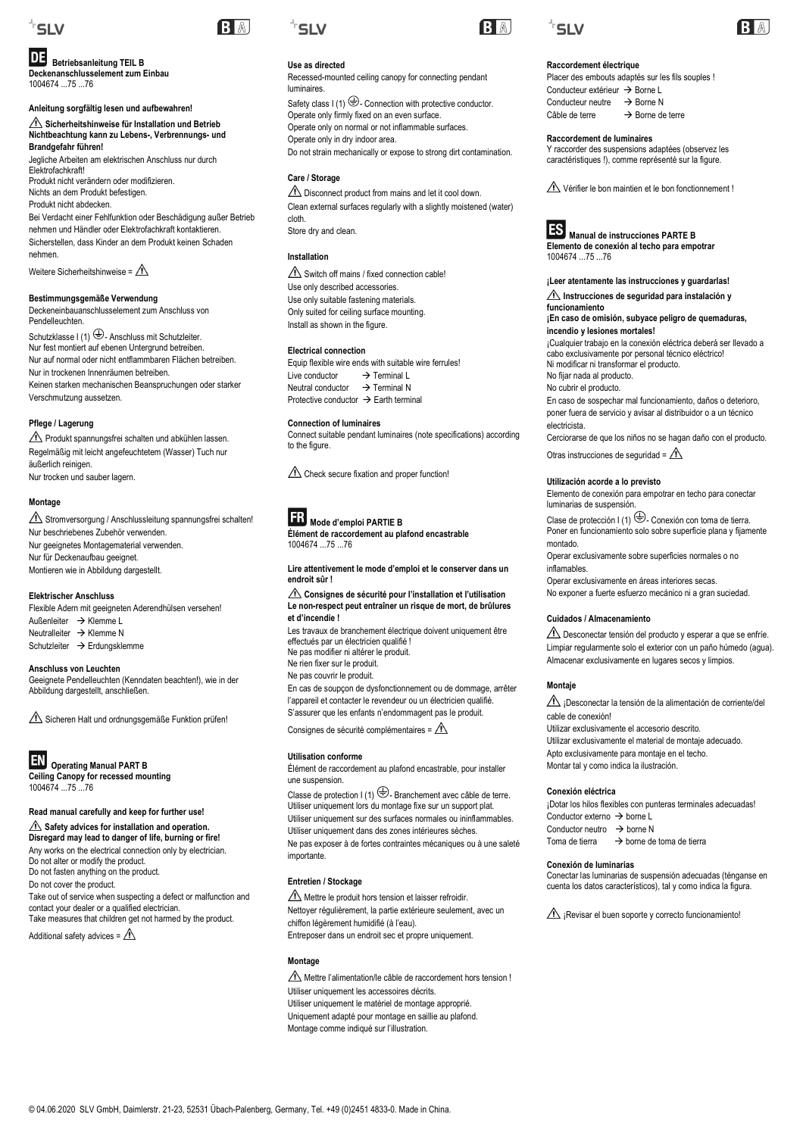

# **Betriebsanleitung TEIL B**

**Deckenanschlusselement zum Einbau** 1004674 ...75 ...76

**Anleitung sorgfältig lesen und aufbewahren! Sicherheitshinweise für Installation und Betrieb Nichtbeachtung kann zu Lebens-, Verbrennungs- und Brandgefahr führen!** Jegliche Arbeiten am elektrischen Anschluss nur durch Elektrofachkraft! Produkt nicht verändern oder modifizieren. Nichts an dem Produkt befestigen. Produkt nicht abdecken. Bei Verdacht einer Fehlfunktion oder Beschädigung außer Betrieb

nehmen und Händler oder Elektrofachkraft kontaktieren. Sicherstellen, dass Kinder an dem Produkt keinen Schaden nehmen.

Weitere Sicherheitshinweise =  $\triangle$ 

**Bestimmungsgemäße Verwendung** Deckeneinbauanschlusselement zum Anschluss von Pendelleuchten.

Schutzklasse I (1)  $\bigoplus$ - Anschluss mit Schutzleiter. Nur fest montiert auf ebenen Untergrund betreiben. Nur auf normal oder nicht entflammbaren Flächen betreiben. Nur in trockenen Innenräumen betreiben. Keinen starken mechanischen Beanspruchungen oder starker Verschmutzung aussetzen.

# **Pflege / Lagerung**

Produkt spannungsfrei schalten und abkühlen lassen. Regelmäßig mit leicht angefeuchtetem (Wasser) Tuch nur äußerlich reinigen. Nur trocken und sauber lagern.

# **Montage**

Stromversorgung / Anschlussleitung spannungsfrei schalten! Nur beschriebenes Zubehör verwenden. Nur geeignetes Montagematerial verwenden. Nur für Deckenaufbau geeignet. Montieren wie in Abbildung dargestellt.

# **Elektrischer Anschluss**

Flexible Adern mit geeigneten Aderendhülsen versehen! Außenleiter → Klemme L Neutralleiter  $\rightarrow$  Klemme N Schutzleiter → Erdungsklemme

**Anschluss von Leuchten**  Geeignete Pendelleuchten (Kenndaten beachten!), wie in der Abbildung dargestellt, anschließen.

 $\triangle$  Sicheren Halt und ordnungsgemäße Funktion prüfen!



 **Operating Manual PART B Ceiling Canopy for recessed mounting** 

1004674 ...75 ...76

# **Read manual carefully and keep for further use!**

**Safety advices for installation and operation. Disregard may lead to danger of life, burning or fire!** Any works on the electrical connection only by electrician. Do not alter or modify the product. Do not fasten anything on the product. Do not cover the product. Take out of service when suspecting a defect or malfunction and contact your dealer or a qualified electrician. Take measures that children get not harmed by the product.

Additional safety advices =  $\triangle$ 



**BA** 

luminaires.

**Care / Storage**

Store dry and clean.

**Installation**

cloth.

**Use as directed**

Recessed-mounted ceiling canopy for connecting pendant

Safety class I (1)  $\bigoplus$ - Connection with protective conductor.

Do not strain mechanically or expose to strong dirt contamination.

Disconnect product from mains and let it cool down. Clean external surfaces regularly with a slightly moistened (water)

 $\triangle$  Switch off mains / fixed connection cable!

Equip flexible wire ends with suitable wire ferrules!<br>Live conductor  $\rightarrow$  Terminal I

Check secure fixation and proper function!

**Élément de raccordement au plafond encastrable** 

**Lire attentivement le mode d'emploi et le conserver dans un** 

**Consignes de sécurité pour l'installation et l'utilisation Le non-respect peut entraîner un risque de mort, de brûlures** 

Les travaux de branchement électrique doivent uniquement être

En cas de soupçon de dysfonctionnement ou de dommage, arrêter l'appareil et contacter le revendeur ou un électricien qualifié. S'assurer que les enfants n'endommagent pas le produit. Consignes de sécurité complémentaires =  $\Lambda$ 

Élément de raccordement au plafond encastrable, pour installer

Classe de protection  $I(1) \oplus$ -Branchement avec câble de terre. Utiliser uniquement lors du montage fixe sur un support plat. Utiliser uniquement sur des surfaces normales ou ininflammables. Utiliser uniquement dans des zones intérieures sèches. Ne pas exposer à de fortes contraintes mécaniques ou à une saleté

Connect suitable pendant luminaires (note specifications) according

Use only described accessories. Use only suitable fastening materials. Only suited for ceiling surface mounting. Install as shown in the figure.

Neutral conductor  $\rightarrow$  Terminal N Protective conductor  $\rightarrow$  Earth terminal

 **Mode d'emploi PARTIE B**

effectués par un électricien qualifié ! Ne pas modifier ni altérer le produit. Ne rien fixer sur le produit. Ne pas couvrir le produit.

1004674 75 76

**endroit sûr !**

**et d'incendie !**

**Utilisation conforme**

une suspension.

importante.

**Montage**

**Entretien / Stockage**

**Connection of luminaires** 

**Electrical connection**

Live conductor

to the figure

Operate only firmly fixed on an even surface. Operate only on normal or not inflammable surfaces.

Operate only in dry indoor area.







# **Raccordement électrique**

Placer des embouts adaptés sur les fils souples ! Conducteur extérieur  $\rightarrow$  Borne L Conducteur neutre  $\rightarrow$  Borne N<br>Câble de terre  $\rightarrow$  Borne de  $\rightarrow$  Borne de terre

#### **Raccordement de luminaires**

Y raccorder des suspensions adaptées (observez les caractéristiques !), comme représenté sur la figure.

 $\triangle$  Vérifier le bon maintien et le bon fonctionnement !

**Manual de instrucciones PARTE B Elemento de conexión al techo para empotrar**  1004674 ...75 ...76

# **¡Leer atentamente las instrucciones y guardarlas! Instrucciones de seguridad para instalación y**

**funcionamiento ¡En caso de omisión, subyace peligro de quemaduras,**

**incendio y lesiones mortales!**

¡Cualquier trabajo en la conexión eléctrica deberá ser llevado a cabo exclusivamente por personal técnico eléctrico! Ni modificar ni transformar el producto. No fijar nada al producto.

No cubrir el producto.

En caso de sospechar mal funcionamiento, daños o deterioro, poner fuera de servicio y avisar al distribuidor o a un técnico electricista.

Cerciorarse de que los niños no se hagan daño con el producto.

Otras instrucciones de seguridad =  $\Lambda$ 

# **Utilización acorde a lo previsto**

Elemento de conexión para empotrar en techo para conectar luminarias de suspensión.

Clase de protección I (1)  $\bigoplus$ - Conexión con toma de tierra. Poner en funcionamiento solo sobre superficie plana y fijamente montado.

Operar exclusivamente sobre superficies normales o no inflamables.

Operar exclusivamente en áreas interiores secas. No exponer a fuerte esfuerzo mecánico ni a gran suciedad.

# **Cuidados / Almacenamiento**

Desconectar tensión del producto y esperar a que se enfríe. Limpiar regularmente solo el exterior con un paño húmedo (agua). Almacenar exclusivamente en lugares secos y limpios.

# **Montaje**

 $\hat{\triangle}$  ¡Desconectar la tensión de la alimentación de corriente/del cable de conexión! Utilizar exclusivamente el accesorio descrito. Utilizar exclusivamente el material de montaje adecuado. Apto exclusivamente para montaje en el techo. Montar tal y como indica la ilustración.

#### **Conexión eléctrica**

¡Dotar los hilos flexibles con punteras terminales adecuadas!  $Conductor$  externo  $\rightarrow$  borne L Conductor neutro  $\rightarrow$  borne N Toma de tierra  $\rightarrow$  borne de toma de tierra

# **Conexión de luminarias**

Conectar las luminarias de suspensión adecuadas (ténganse en cuenta los datos característicos), tal y como indica la figura.

 $\widehat{\mathbb{A}}$  ¡Revisar el buen soporte y correcto funcionamiento!

 $\bigwedge$  Mettre l'alimentation/le câble de raccordement hors tension ! Utiliser uniquement les accessoires décrits. Utiliser uniquement le matériel de montage approprié. Uniquement adapté pour montage en saillie au plafond. Montage comme indiqué sur l'illustration.

Mettre le produit hors tension et laisser refroidir. Nettoyer régulièrement, la partie extérieure seulement, avec un

Entreposer dans un endroit sec et propre uniquement.

chiffon légèrement humidifié (à l'eau).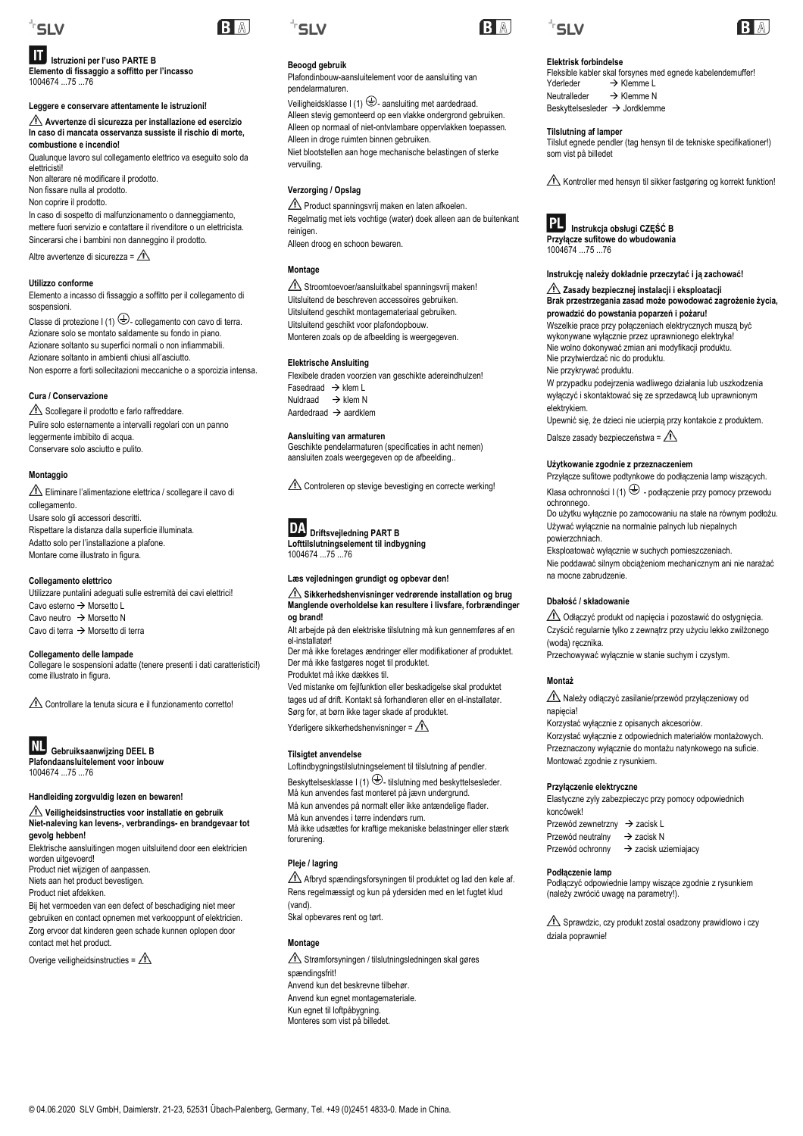

# **Istruzioni per l'uso PARTE B**

**Elemento di fissaggio a soffitto per l'incasso**  1004674 ...75 ...76

# **Leggere e conservare attentamente le istruzioni!**

**Avvertenze di sicurezza per installazione ed esercizio In caso di mancata osservanza sussiste il rischio di morte, combustione e incendio!**

Qualunque lavoro sul collegamento elettrico va eseguito solo da elettricisti!

Non alterare né modificare il prodotto. Non fissare nulla al prodotto. Non coprire il prodotto.

In caso di sospetto di malfunzionamento o danneggiamento, mettere fuori servizio e contattare il rivenditore o un elettricista. Sincerarsi che i bambini non danneggino il prodotto.

Altre avvertenze di sicurezza =  $\triangle$ 

# **Utilizzo conforme**

Elemento a incasso di fissaggio a soffitto per il collegamento di sospensioni.

Classe di protezione I (1)  $\bigoplus$ - collegamento con cavo di terra. Azionare solo se montato saldamente su fondo in piano. Azionare soltanto su superfici normali o non infiammabili. Azionare soltanto in ambienti chiusi all'asciutto. Non esporre a forti sollecitazioni meccaniche o a sporcizia intensa.

#### **Cura / Conservazione**

Scollegare il prodotto e farlo raffreddare. Pulire solo esternamente a intervalli regolari con un panno leggermente imbibito di acqua. Conservare solo asciutto e pulito.

# **Montaggio**

Eliminare l'alimentazione elettrica / scollegare il cavo di collegamento. Usare solo gli accessori descritti. Rispettare la distanza dalla superficie illuminata. Adatto solo per l'installazione a plafone. Montare come illustrato in figura.

# **Collegamento elettrico**

Utilizzare puntalini adeguati sulle estremità dei cavi elettrici! Cavo esterno  $\rightarrow$  Morsetto L Cavo neutro  $\rightarrow$  Morsetto N Cavo di terra  $\rightarrow$  Morsetto di terra

**Collegamento delle lampade** 

Collegare le sospensioni adatte (tenere presenti i dati caratteristici!) come illustrato in figura.

 $\triangle$  Controllare la tenuta sicura e il funzionamento corretto!



**Gebruiksaanwijzing DEEL B Plafondaansluitelement voor inbouw** 

1004674 ...75 ...76

**Handleiding zorgvuldig lezen en bewaren!**

**Veiligheidsinstructies voor installatie en gebruik Niet-naleving kan levens-, verbrandings- en brandgevaar tot gevolg hebben!**

Elektrische aansluitingen mogen uitsluitend door een elektricien worden uitgevoerd!

Product niet wijzigen of aanpassen. Niets aan het product bevestigen.

Product niet afdekken.

Bij het vermoeden van een defect of beschadiging niet meer gebruiken en contact opnemen met verkooppunt of elektricien. Zorg ervoor dat kinderen geen schade kunnen oplopen door contact met het product.

Overige veiligheidsinstructies =  $\triangle$ 



RA

# **B** A

# **Beoogd gebruik**

Plafondinbouw-aansluitelement voor de aansluiting van pendelarmaturen.

Veiligheidsklasse I (1)  $\bigoplus$ - aansluiting met aardedraad. Alleen stevig gemonteerd op een vlakke ondergrond gebruiken. Alleen op normaal of niet-ontvlambare oppervlakken toepassen. Alleen in droge ruimten binnen gebruiken. Niet blootstellen aan hoge mechanische belastingen of sterke vervuiling.

# **Verzorging / Opslag**

Product spanningsvrij maken en laten afkoelen. Regelmatig met iets vochtige (water) doek alleen aan de buitenkant reinigen. Alleen droog en schoon bewaren.

**Montage**

 $\triangle$  Stroomtoevoer/aansluitkabel spanningsvrij maken! Uitsluitend de beschreven accessoires gebruiken. Uitsluitend geschikt montagemateriaal gebruiken. Uitsluitend geschikt voor plafondopbouw. Monteren zoals op de afbeelding is weergegeven.

# **Elektrische Ansluiting**

Flexibele draden voorzien van geschikte adereindhulzen! Fasedraad  $\rightarrow$  klem L  $Nuldr$ aad  $\rightarrow$  klem N Aardedraad  $\rightarrow$  aardklem

# **Aansluiting van armaturen**

Geschikte pendelarmaturen (specificaties in acht nemen) aansluiten zoals weergegeven op de afbeelding..

Controleren op stevige bevestiging en correcte werking!



# **Driftsvejledning PART B**

**Lofttilslutningselement til indbygning**  1004674 ...75 ...76

**Læs vejledningen grundigt og opbevar den!**

#### **Sikkerhedshenvisninger vedrørende installation og brug Manglende overholdelse kan resultere i livsfare, forbrændinger og brand!**

Alt arbejde på den elektriske tilslutning må kun gennemføres af en el-installatør!

Der må ikke foretages ændringer eller modifikationer af produktet. Der må ikke fastgøres noget til produktet. Produktet må ikke dækkes til.

Ved mistanke om fejlfunktion eller beskadigelse skal produktet

tages ud af drift. Kontakt så forhandleren eller en el-installatør. Sørg for, at børn ikke tager skade af produktet.

Yderligere sikkerhedshenvisninger =  $\sqrt{N}$ 

# **Tilsigtet anvendelse**

Loftindbygningstilslutningselement til tilslutning af pendler.

Beskyttelsesklasse I (1)  $\bigoplus$ - tilslutning med beskyttelsesleder. Må kun anvendes fast monteret på jævn undergrund. Må kun anvendes på normalt eller ikke antændelige flader. Må kun anvendes i tørre indendørs rum. Må ikke udsættes for kraftige mekaniske belastninger eller stærk forurening.

# **Pleje / lagring**

 $\widehat{\mathbb{A}}$  Afbryd spændingsforsyningen til produktet og lad den køle af. Rens regelmæssigt og kun på ydersiden med en let fugtet klud (vand). Skal opbevares rent og tørt.

# **Montage**

Strømforsyningen / tilslutningsledningen skal gøres spændingsfrit! Anvend kun det beskrevne tilbehør. Anvend kun egnet montagemateriale. Kun egnet til loftpåbygning. Monteres som vist på billedet.





# **Elektrisk forbindelse**

Fleksible kabler skal forsynes med egnede kabelendemuffer!<br>Yderleder > Klemme L  $Y$ derleder  $\rightarrow$  Klemme L<br>Neutralleder  $\rightarrow$  Klemme N  $\rightarrow$  Klemme N Beskyttelsesleder  $\rightarrow$  Jordklemme

#### **Tilslutning af lamper**

Tilslut egnede pendler (tag hensyn til de tekniske specifikationer!) som vist på billedet

Kontroller med hensyn til sikker fastgøring og korrekt funktion!



# 1004674 75 76

# **Instrukcję należy dokładnie przeczytać i ją zachować! Zasady bezpiecznej instalacji i eksploatacji Brak przestrzegania zasad może powodować zagrożenie życia,**

**prowadzić do powstania poparzeń i pożaru!** Wszelkie prace przy połączeniach elektrycznych muszą być wykonywane wyłącznie przez uprawnionego elektryka!

Nie wolno dokonywać zmian ani modyfikacji produktu. Nie przytwierdzać nic do produktu. Nie przykrywać produktu.

W przypadku podejrzenia wadliwego działania lub uszkodzenia wyłączyć i skontaktować się ze sprzedawcą lub uprawnionym elektrykiem.

Upewnić się, że dzieci nie ucierpią przy kontakcie z produktem. Dalsze zasady bezpieczeństwa =  $\triangle$ 

# **Użytkowanie zgodnie z przeznaczeniem**

Przyłącze sufitowe podtynkowe do podłączenia lamp wiszących. Klasa ochronności I (1)  $\bigoplus$  - podłączenie przy pomocy przewodu

ochronnego. Do użytku wyłącznie po zamocowaniu na stałe na równym podłożu. Używać wyłącznie na normalnie palnych lub niepalnych

powierzchniach. Eksploatować wyłącznie w suchych pomieszczeniach.

Nie poddawać silnym obciążeniom mechanicznym ani nie narażać na mocne zabrudzenie.

#### **Dbałość / składowanie**

Odłączyć produkt od napięcia i pozostawić do ostygnięcia. Czyścić regularnie tylko z zewnątrz przy użyciu lekko zwilżonego (wodą) ręcznika.

Przechowywać wyłącznie w stanie suchym i czystym.

#### **Montaż**

Należy odłączyć zasilanie/przewód przyłączeniowy od napiecia!

Korzystać wyłącznie z opisanych akcesoriów. Korzystać wyłącznie z odpowiednich materiałów montażowych. Przeznaczony wyłącznie do montażu natynkowego na suficie. Montować zgodnie z rysunkiem.

# **Przyłączenie elektryczne**

Elastyczne zyly zabezpieczyc przy pomocy odpowiednich koncówek! Przewód zewnetrzny → zacisk L

Przewód neutralny  $\rightarrow$  zacisk N Przewód ochronny → zacisk uziemiajacy

#### **Podłączenie lamp**

Podłączyć odpowiednie lampy wiszące zgodnie z rysunkiem (należy zwrócić uwagę na parametry!).

 $\hat{\mathbb{R}}$  Sprawdzic, czy produkt zostal osadzony prawidlowo i czy dziala poprawnie!